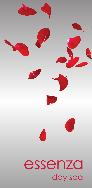# essenza day spa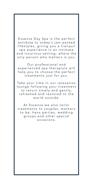Essenza Day Spa is the perfect antidote to today's jam packed lifestyles, giving you a tranquil spa experience in an intimate and luxurious setting, where the only person who matters is you.

Our professional and experienced spa therapists will help you to choose the perfect treatments just for you.

Take your time in our relaxation lounge following your treatment to return slowly and gently, refreshed and restored to the world outside.

At Essenza we also tailor treatments to couples, mothers to be, hens parties, wedding groups and other special occasions.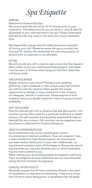*Spa Etiquette*

### **ARRIVAL**

Welcome to Essenza Day Spa.

We recommend that you arrive 10-15 minutes prior to your treatments. This allows time for you to check in, relax & take full advantage of your reserved time in the spa. Please understand that late arrivals may result in the reduction of your treatment time.

We respectfully request that all mobile phones be switched off during your visit. Please be aware the spa is a smoke free licenced 18+ facility. We advise that the over consumption of alcohol prior to treatment is not advisable.

### ATTIRE

We will provide you with a robe to wear around the Day Spa and also a locker to put your clothing and belongings in. Swimwear must be worn at all times when using our Hot Pool, Detox Box and Sauna areas.

### GROUP BOOKINGS

Maybe romance is your focus? Perhaps a pre-wedding gathering, a girl's weekend, or that unique corporate function you wish to cater for. Essenza offers guests the unique opportunity to indulge in many treatments in the company of colleagues, friends or loved ones. Please enquire at front reception about our double treatment rooms or group function availability.

### GIFT VOUCHERS

Give the ultimate gift with an Essenza Day Spa gift voucher. Gift vouchers can be tailor made for a particular treatment or stated amount. Our gift vouchers are beautifully presented & make an ideal gift for any occasion. Gift vouchers can be organised over the phone or collected from Essenza Reception.

### HEALTH CONSIDERATIONS

Some treatments may not be suitable given certain circumstances or medical conditions. If you are pregnant, have a heart condition or high blood pressure, we recommend you seek medical advice prior to your visit. Additionally, our experienced reception team will be happy to discuss any special requirements you may have & advise you on which treatments may be most suitable for you.

When making your spa booking please let reception staff know if you are pregnant as some treatments are not recommended during the first trimester of pregnancy.

### CANCELLATION POLICY

We kindly request that 24 hours notice be offered in the event of cancellation or treatment re-scheduling. In the event of less than 24 hours notice being given, a cancellation fee will apply.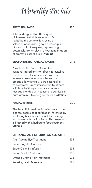# *Waterlily Facials*

### PETIT SPA FACIAL

A facial designed to offer a quick pick-me-up to brighten, nourish & revitalise the complexion. Using a selection of nourishing cold pressed plant oils, exotic fruit enzymes, replenishing botanicals, french clay & a hydrating infusion of aromatic essential oils. 40mins

### SEASONAL BOTANICAL FACIAL \$115

A replenishing facial infusing fresh seasonal ingredients to refresh & revitalise the skin. Each facial is infused with an intense massage emulsion layered with omega oils, vitamins & pure essential oil concentrates. Once infused, the treatment is finished with a performance contour masque blended with seasonal botanicals & pure vitamin C to energise the skin. 60mins

## FACIAL RITUAL

This beautiful ritual begins with a warm foot cleanse, soak & foot exfoliation, followed by a relaxing back, neck & shoulder massage and seasonal botanical facial. This treatment is finished with a hydrating foot treatment. 90mins

## ENHANCE ANY OF OUR FACIALS WITH:

| Anti-Ageing Eye Treatment   | \$35 |
|-----------------------------|------|
| Super Bright B3 Infusion    | \$35 |
| Super Clear B3 Infusion     | \$35 |
| Super Proof B3 Infusion     | \$35 |
| Orange Creme Hair Treatment | \$35 |
| Relaxing Scalp Massage      | \$25 |
|                             |      |

\$80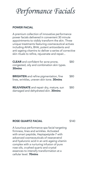*Performance Facials*

### POWER FACIAL

A premium collection of innovative performance power facials delivered in convenient 30 minute appointments to visibly transform the skin. Three unique treatments featuring cosmeceutical actives including AHA's, BHA, potent antioxidants and anti-ageing vitamins to deliver a series of corrective skin rituals to refine, rejuvenate and repair...

| <b>CLEAR</b> and confident for acne prone,<br>congested, oily and combination skin types.<br>30mins | \$80 |
|-----------------------------------------------------------------------------------------------------|------|
| <b>BRIGHTEN</b> and refine pigmentation, fine<br>lines, wrinkles, uneven skin tone. 30mins          | \$80 |
| <b>REJUVENATE</b> and repair dry, mature, sun<br>damaged and dehydrated skin. 30mins                | \$80 |

### ROSE QUARTZ FACIAL

\$140

A luxurious performance spa facial targeting firmness, lines and wrinkles. Activated with smart peptide, Heptapetpide-7 with advanced cosmeceuticals of reseveratrol and hyaluronic acid in an anti-ageing vitamin complex with a nurturing infusion of pure rose oils, crushed quartz and crystal essences to intensify transformation at a cellular level. 70mins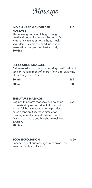

### INDIAN HEAD & SHOULDER MASSAGE

This relaxing but stimulating massage ritual is aimed at increasing the blood & lymphatic circulation to the head, neck & shoulders. It clears the mind, uplifts the senses & recharges the physical body. 30mins

### RELAXATION MASSAGE

A slow relaxing massage, promoting the diffusion of tension, re-alignment of energy flow & re-balancing of the body, mind & spirit.

| 30 min        | \$65  |
|---------------|-------|
| <b>60 min</b> | \$100 |

### SIGNATURE MASSAGE

Begin with a warm foot soak & exfoliation to create silky smooth skin, following with a slow full body massage, to help reduce muscle tension & increase circulation creating a totally peaceful state. This is finished off with a soothing hot towel foot infusion. 70mins \$120

BODY EXFOLIATION

 $+ $50$ 

Enhance any of our massages with an add on seasonal body exfoliation.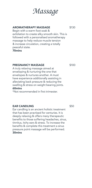

### AROMATHERAPY MASSAGE

Begin with a warm foot soak & exfoliation to create silky smooth skin. This is followed with a personalised aromatherapy massage to help reduce muscle tension & increase circulation, creating a totally peaceful state. 70mins

### PREGNANCY MASSAGE

A truly relaxing massage aimed at enveloping & nurturing the one that envelopes & nurtures another. A must have experience additionally assisting in alleviating back pressure & reducing the swelling & stress on weight bearing joints. 60mins \*Not recommended in first trimester.

### EAR CANDLING

Ear candling is an ancient holistic treatment that has been practised for centuries. It is deeply relaxing & offers many therapeutic benefits to those suffering headaches, sinus, tinnitus, itchy ears & stress. To increase the benefits & complete this treatment a sinus pressure point massage will be performed. 30mins

\$50

\$130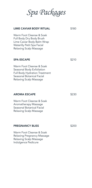*Spa Packages*

| <b>LIME CAVIAR BODY RITUAL</b>                                                                                                                       | \$180 |
|------------------------------------------------------------------------------------------------------------------------------------------------------|-------|
| Warm Foot Cleanse & Soak<br>Full Body Dry Body Brush<br>Lime Caviar Body Balm Wrap<br>Waterlily Petit Spa Facial<br><b>Relaxing Scalp Massage</b>    |       |
| <b>SPA ESCAPE</b>                                                                                                                                    | \$210 |
| Warm Foot Cleanse & Soak<br>Seasonal Body Exfoliation<br><b>Full Body Hydration Treatment</b><br>Seasonal Botanical Facial<br>Relaxing Scalp Massage |       |
| <b>AROMA ESCAPE</b>                                                                                                                                  | \$230 |
| Warm Foot Cleanse & Soak<br>Aromatherapy Massage<br>Seasonal Botanical Facial<br><b>Relaxing Scalp Massage</b>                                       |       |
| <b>PREGNANCY BLISS</b>                                                                                                                               | \$200 |
| Warm Foot Cleanse & Soak<br>Relaxing Pregnancy Massage                                                                                               |       |

Relaxing Scalp Massage Indulgence Pedicure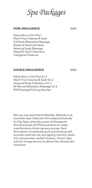*Spa Packages*

### PURE INDULGENCE

\$360

Detox Box or Hot Pool Warm Foot Cleanse & Soak Full Body Relaxation Massage Seasonal Botanical Facial Relaxing Scalp Massage Waterlily Hand Treatment Indulgence Pedicure

### DOUBLE INDULGENCE

\$400

Detox Box or Hot Pool for 2 Warm Foot Cleanse & Soak for 2 Seasonal Body Exfoliation for 2 60 Minute Relaxation Massage for 2 \$100 Stonegrill Dining Voucher

We use and recommend Waterlily. Waterlily is an Australian Spa Collection formulated exclusively for Day Spas using the purest of therapeutic Aromaceuticals and Phytonutrients to create a performance driven sensory journey. Each formulation is botanically pure and bursting with aromatic essential oils, anti-ageing vitamins, exotic fruit concentrates, herbal infusions, French clays and rich omega serums to deliver the ultimate skin treatment.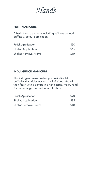*Hands*

## PETIT MANICURE

A basic hand treatment including nail, cuticle work, buffing & colour application.

| Polish Application         | \$50 |
|----------------------------|------|
| <b>Shellac Application</b> | \$65 |
| Shellac Removal From:      | \$10 |

### INDULGENCE MANICURE

This indulgent manicure has your nails filed & buffed with cuticles pushed back & tided. You will then finish with a pampering hand scrub, mask, hand & arm massage, and colour application

| Polish Application         | \$70 |
|----------------------------|------|
| <b>Shellac Application</b> | \$85 |
| Shellac Removal From:      | \$10 |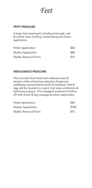*Feet*

## PETIT PEDICURE

A basic foot treatment including foot soak, nail & cuticle work, buffing, moisturising and colour application.

| Polish Application    | \$65 |
|-----------------------|------|
| Shellac Application   | \$80 |
| Shellac Removal From: | \$10 |

### INDULGENCE PEDICURE

This aromatic foot treatment relieves stress & tension while enhancing relaxation & general wellbeing, leaving feet smooth & hydrated. Feet & legs will be treated to a warm foot soak, exfoliation & hydrating masque. This indulgent treatment finishes off with a foot & leg massage & colour application

| Polish Application         | \$85  |
|----------------------------|-------|
| <b>Shellac Application</b> | \$100 |
| Shellac Removal From:      | \$10  |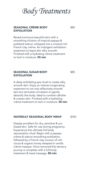*Body Treatments*

### SEASONAL CRÈME BODY EXFOLIATION

Reveal luminous beautiful skin with a smoothing infusion of tropical papaya & polished walnut, whipped into a mineral rich French clay crème. An indulgent exfoliation treatment to leave skin silky smooth. Finished with a hydrating crème treatment to lock in moisture. **50 min** 

### SEASONAL SUGAR BODY **EXFOLIATION**

A deep exfoliating spa ritual to create silky smooth skin. Enjoy an intense invigorating treatment to not only effectively smooth skin but stimulate circulation to gently detoxify the body. Ideal to combat cellulite & uneven skin. Finished with a hydrating crème treatment to lock in moisture. 50 min

### WATERLILY SEASONAL BODY WRAP

Deeply emollient for dry, sensitive & sun kissed skin. Safe for use during pregnancy. Experience the ultimate full body rejuvenation ritual. Begin with a papaya crème & walnut smoothing exfoliation, followed by a French clay cocoon of rich cocoa & organic honey steeped in vanilla crème masque. Once removed this sensory journey is complete with a full body treatment & head massage. 80 min

\$85

\$85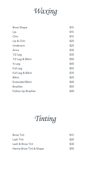*Waxing*

| <b>Brow Shape</b>      | \$15 |
|------------------------|------|
| Lip                    | \$15 |
| Chin                   | \$15 |
| Lip & Chin             | \$25 |
| Underarm               | \$25 |
| Arms                   | \$35 |
| $1/2$ Leg              | \$35 |
| 1/2 Leg & Bikini       | \$50 |
| 3/ <sub>4</sub> Leg    | \$45 |
| Full Leg               | \$55 |
| Full Leg & Bikini      | \$70 |
| <b>Bikini</b>          | \$25 |
| <b>Extended Bikini</b> | \$40 |
| <b>Brazilian</b>       | \$55 |
| Follow Up Brazilian    | \$40 |
|                        |      |

*Tinting*

| <b>Brow Tint</b>        | \$15 |
|-------------------------|------|
| Lash Tint               | \$20 |
| Lash & Brow Tint        | \$30 |
| Henna Brow Tint & Shape | \$50 |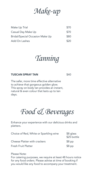*Make-up*

| Make Up Trial                   | \$70 |
|---------------------------------|------|
| Casual Day Make Up              | \$70 |
| Bridal/Special Occasion Make Up | \$80 |
| Add On Lashes                   | \$20 |



### TUSCAN SPRAY TAN

The safer, more time effective alternative to achieve that gorgeous golden glow. This spray on body tan provides an instant, natural & even colour that lasts up to ten days.

*Food & Beverages*

Enhance your experience with our delicious drinks and platters.

| Choice of Red, White or Sparkling wine | \$8 glass<br>\$25 bottle |
|----------------------------------------|--------------------------|
| <b>Cheese Platter with crackers</b>    | $$8$ pp                  |
| Fresh Fruit Platter                    | $$8$ pp                  |

Please Note:

For catering purposes, we require at least 48 hours notice for any food orders. Please advise at time of booking if you would like any food to accompany your treatment.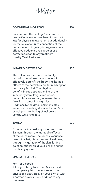*Water*

### COMMUNAL HOT POOL

For centuries the healing & restorative properties of water have been known not just for physical rejuvenation but additionally for the relaxation & re-connection of the body & mind. Singularly indulge as a time effective body/mind recharge or as a perfect addition to any treatment. Loyalty Card Available

### INFARED DETOX BOX

The detox box uses safe & naturally occurring far infrared rays to safely & effectively detoxify the body. The holistic effects of the detox box are far reaching for both body & mind. The physical benefits include strengthening of the immune system, fatigue reduction, metabolic acceleration, increased blood flow & assistance in weight loss. Additionally, the detox box stimulates endorphins creating stress reduction & an overall positive feeling of wellbeing. Loyalty Card Available

### **SAUNA**

Experience the healing properties of heat & steam through the metabolic effects of the sauna room. The sauna experience results in a heightened sense of wellbeing through invigoration of the skin, letting go of emotional build up & enhancing the circulatory system.

### SPA BATH RITUAL

For 1 or 2 People Allow your body to unwind & your mind to completely let go as you relax in our private spa bath. Enjoy on your own or with a partner, as a luxurious addition to any treatment.

\$20

\$40

\$10